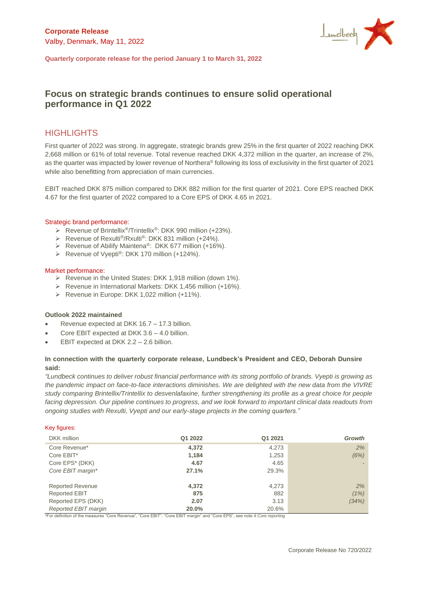

**Quarterly corporate release for the period January 1 to March 31, 2022**

# **Focus on strategic brands continues to ensure solid operational performance in Q1 2022**

# **HIGHLIGHTS**

First quarter of 2022 was strong. In aggregate, strategic brands grew 25% in the first quarter of 2022 reaching DKK 2,668 million or 61% of total revenue. Total revenue reached DKK 4,372 million in the quarter, an increase of 2%, as the quarter was impacted by lower revenue of Northera® following its loss of exclusivity in the first quarter of 2021 while also benefitting from appreciation of main currencies.

EBIT reached DKK 875 million compared to DKK 882 million for the first quarter of 2021. Core EPS reached DKK 4.67 for the first quarter of 2022 compared to a Core EPS of DKK 4.65 in 2021.

#### Strategic brand performance:

- ➢ Revenue of Brintellix®/Trintellix®: DKK 990 million (+23%).
- ➢ Revenue of Rexulti®/Rxulti®: DKK 831 million (+24%).
- ➢ Revenue of Abilify Maintena®: DKK 677 million (+16%).
- ➢ Revenue of Vyepti®: DKK 170 million (+124%).

#### Market performance:

- ➢ Revenue in the United States: DKK 1,918 million (down 1%).
- ➢ Revenue in International Markets: DKK 1,456 million (+16%).
- ➢ Revenue in Europe: DKK 1,022 million (+11%).

#### **Outlook 2022 maintained**

- Revenue expected at DKK 16.7 17.3 billion.
- Core EBIT expected at DKK 3.6 4.0 billion.
- EBIT expected at DKK 2.2 2.6 billion.

#### **In connection with the quarterly corporate release, Lundbeck's President and CEO, Deborah Dunsire said:**

*"Lundbeck continues to deliver robust financial performance with its strong portfolio of brands. Vyepti is growing as the pandemic impact on face-to-face interactions diminishes. We are delighted with the new data from the VIVRE study comparing Brintellix/Trintellix to desvenlafaxine, further strengthening its profile as a great choice for people facing depression. Our pipeline continues to progress, and we look forward to important clinical data readouts from ongoing studies with Rexulti, Vyepti and our early-stage projects in the coming quarters."*

#### Key figures:

| DKK million             | Q1 2022 | Q1 2021 | <b>Growth</b> |
|-------------------------|---------|---------|---------------|
| Core Revenue*           | 4,372   | 4,273   | 2%            |
| Core EBIT*              | 1,184   | 1,253   | (6%)          |
| Core EPS* (DKK)         | 4.67    | 4.65    |               |
| Core EBIT margin*       | 27.1%   | 29.3%   |               |
| <b>Reported Revenue</b> | 4.372   | 4,273   | 2%            |
| <b>Reported EBIT</b>    | 875     | 882     | (1%)          |
| Reported EPS (DKK)      | 2.07    | 3.13    | (34%)         |
|                         |         |         |               |
| Reported EBIT margin    | 20.0%   | 20.6%   |               |

\*For definition of the measures "Core Revenue", "Core EBIT", "Core EBIT margin" and "Core EPS", see note 4 *Core reporting*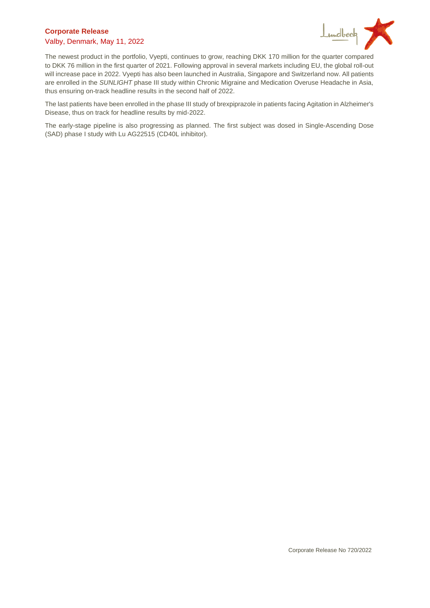### **Corporate Release**  Valby, Denmark, May 11, 2022



The newest product in the portfolio, Vyepti, continues to grow, reaching DKK 170 million for the quarter compared to DKK 76 million in the first quarter of 2021. Following approval in several markets including EU, the global roll-out will increase pace in 2022. Vyepti has also been launched in Australia, Singapore and Switzerland now. All patients are enrolled in the *SUNLIGHT* phase III study within Chronic Migraine and Medication Overuse Headache in Asia, thus ensuring on-track headline results in the second half of 2022.

The last patients have been enrolled in the phase III study of brexpiprazole in patients facing Agitation in Alzheimer's Disease, thus on track for headline results by mid-2022.

The early-stage pipeline is also progressing as planned. The first subject was dosed in Single-Ascending Dose (SAD) phase I study with Lu AG22515 (CD40L inhibitor).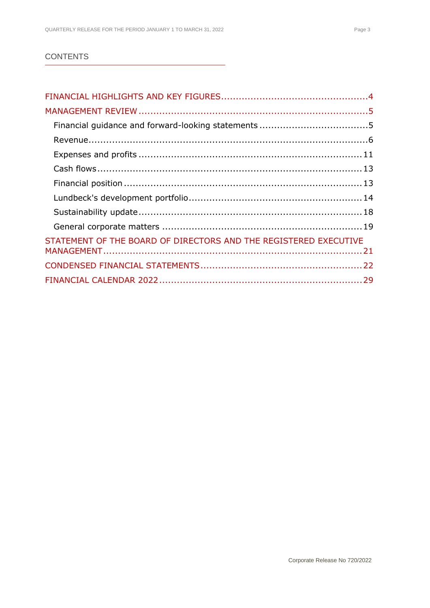### **CONTENTS**

| STATEMENT OF THE BOARD OF DIRECTORS AND THE REGISTERED EXECUTIVE |  |
|------------------------------------------------------------------|--|
|                                                                  |  |
|                                                                  |  |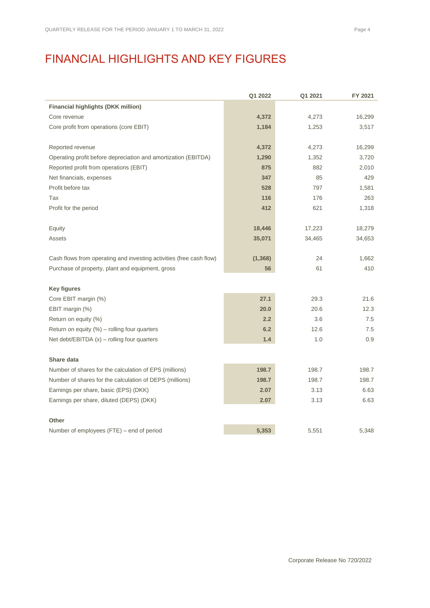# <span id="page-3-0"></span>FINANCIAL HIGHLIGHTS AND KEY FIGURES

|                                                                     | Q1 2022  | Q1 2021 | FY 2021 |
|---------------------------------------------------------------------|----------|---------|---------|
| <b>Financial highlights (DKK million)</b>                           |          |         |         |
| Core revenue                                                        | 4,372    | 4,273   | 16,299  |
| Core profit from operations (core EBIT)                             | 1,184    | 1,253   | 3,517   |
| Reported revenue                                                    | 4,372    | 4,273   | 16,299  |
| Operating profit before depreciation and amortization (EBITDA)      | 1,290    | 1,352   | 3,720   |
| Reported profit from operations (EBIT)                              | 875      | 882     | 2,010   |
| Net financials, expenses                                            | 347      | 85      | 429     |
| Profit before tax                                                   | 528      | 797     | 1,581   |
| Tax                                                                 | 116      | 176     | 263     |
| Profit for the period                                               | 412      | 621     | 1,318   |
| Equity                                                              | 18,446   | 17,223  | 18,279  |
| <b>Assets</b>                                                       | 35,071   | 34,465  | 34,653  |
| Cash flows from operating and investing activities (free cash flow) | (1, 368) | 24      | 1,662   |
| Purchase of property, plant and equipment, gross                    | 56       | 61      | 410     |
| <b>Key figures</b>                                                  |          |         |         |
| Core EBIT margin (%)                                                | 27.1     | 29.3    | 21.6    |
| EBIT margin (%)                                                     | 20.0     | 20.6    | 12.3    |
| Return on equity (%)                                                | 2.2      | 3.6     | 7.5     |
| Return on equity $(%)$ – rolling four quarters                      | 6.2      | 12.6    | 7.5     |
| Net debt/EBITDA $(x)$ – rolling four quarters                       | 1.4      | 1.0     | 0.9     |
| Share data                                                          |          |         |         |
| Number of shares for the calculation of EPS (millions)              | 198.7    | 198.7   | 198.7   |
| Number of shares for the calculation of DEPS (millions)             | 198.7    | 198.7   | 198.7   |
| Earnings per share, basic (EPS) (DKK)                               | 2.07     | 3.13    | 6.63    |
| Earnings per share, diluted (DEPS) (DKK)                            | 2.07     | 3.13    | 6.63    |
| <b>Other</b>                                                        |          |         |         |
| Number of employees (FTE) - end of period                           | 5,353    | 5,551   | 5,348   |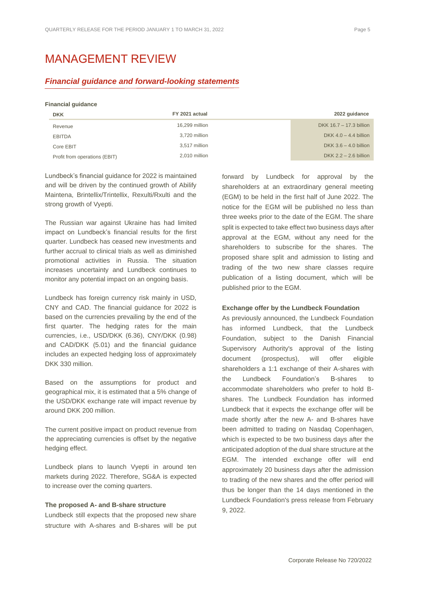# <span id="page-4-0"></span>MANAGEMENT REVIEW

#### <span id="page-4-1"></span>*Financial guidance and forward-looking statements*

#### **Financial guidance**

| <b>DKK</b>                    | FY 2021 actual | 2022 guidance           |
|-------------------------------|----------------|-------------------------|
| Revenue                       | 16,299 million | DKK 16.7 - 17.3 billion |
| <b>EBITDA</b>                 | 3,720 million  | DKK $4.0 - 4.4$ billion |
| Core EBIT                     | 3,517 million  | DKK $3.6 - 4.0$ billion |
| Profit from operations (EBIT) | 2.010 million  | DKK $2.2 - 2.6$ billion |

Lundbeck's financial guidance for 2022 is maintained and will be driven by the continued growth of Abilify Maintena, Brintellix/Trintellix, Rexulti/Rxulti and the strong growth of Vyepti.

The Russian war against Ukraine has had limited impact on Lundbeck's financial results for the first quarter. Lundbeck has ceased new investments and further accrual to clinical trials as well as diminished promotional activities in Russia. The situation increases uncertainty and Lundbeck continues to monitor any potential impact on an ongoing basis.

Lundbeck has foreign currency risk mainly in USD, CNY and CAD. The financial guidance for 2022 is based on the currencies prevailing by the end of the first quarter. The hedging rates for the main currencies, i.e., USD/DKK (6.36), CNY/DKK (0.98) and CAD/DKK (5.01) and the financial guidance includes an expected hedging loss of approximately DKK 330 million.

Based on the assumptions for product and geographical mix, it is estimated that a 5% change of the USD/DKK exchange rate will impact revenue by around DKK 200 million.

The current positive impact on product revenue from the appreciating currencies is offset by the negative hedging effect.

Lundbeck plans to launch Vyepti in around ten markets during 2022. Therefore, SG&A is expected to increase over the coming quarters.

#### **The proposed A- and B-share structure**

Lundbeck still expects that the proposed new share structure with A-shares and B-shares will be put forward by Lundbeck for approval by the shareholders at an extraordinary general meeting (EGM) to be held in the first half of June 2022. The notice for the EGM will be published no less than three weeks prior to the date of the EGM. The share split is expected to take effect two business days after approval at the EGM, without any need for the shareholders to subscribe for the shares. The proposed share split and admission to listing and trading of the two new share classes require publication of a listing document, which will be published prior to the EGM.

#### **Exchange offer by the Lundbeck Foundation**

As previously announced, the Lundbeck Foundation has informed Lundbeck, that the Lundbeck Foundation, subject to the Danish Financial Supervisory Authority's approval of the listing document (prospectus), will offer eligible shareholders a 1:1 exchange of their A-shares with the Lundbeck Foundation's B-shares to accommodate shareholders who prefer to hold Bshares. The Lundbeck Foundation has informed Lundbeck that it expects the exchange offer will be made shortly after the new A- and B-shares have been admitted to trading on Nasdaq Copenhagen, which is expected to be two business days after the anticipated adoption of the dual share structure at the EGM. The intended exchange offer will end approximately 20 business days after the admission to trading of the new shares and the offer period will thus be longer than the 14 days mentioned in the Lundbeck Foundation's press release from February 9, 2022.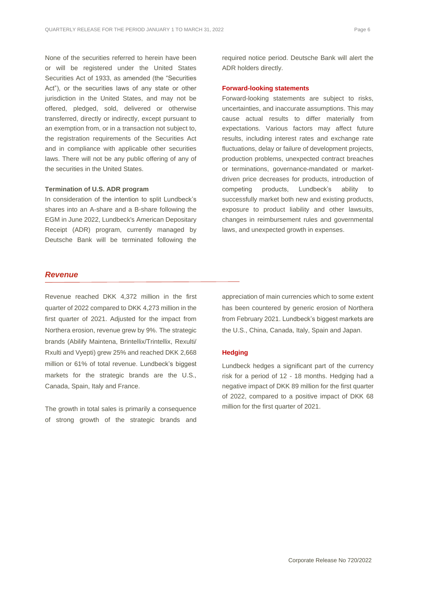None of the securities referred to herein have been or will be registered under the United States Securities Act of 1933, as amended (the "Securities Act"), or the securities laws of any state or other jurisdiction in the United States, and may not be offered, pledged, sold, delivered or otherwise transferred, directly or indirectly, except pursuant to an exemption from, or in a transaction not subject to, the registration requirements of the Securities Act and in compliance with applicable other securities laws. There will not be any public offering of any of the securities in the United States.

#### **Termination of U.S. ADR program**

In consideration of the intention to split Lundbeck's shares into an A-share and a B-share following the EGM in June 2022, Lundbeck's American Depositary Receipt (ADR) program, currently managed by Deutsche Bank will be terminated following the required notice period. Deutsche Bank will alert the ADR holders directly.

#### **Forward-looking statements**

Forward-looking statements are subject to risks, uncertainties, and inaccurate assumptions. This may cause actual results to differ materially from expectations. Various factors may affect future results, including interest rates and exchange rate fluctuations, delay or failure of development projects, production problems, unexpected contract breaches or terminations, governance-mandated or marketdriven price decreases for products, introduction of competing products, Lundbeck's ability to successfully market both new and existing products, exposure to product liability and other lawsuits, changes in reimbursement rules and governmental laws, and unexpected growth in expenses.

#### *Revenue*

Revenue reached DKK 4,372 million in the first quarter of 2022 compared to DKK 4,273 million in the first quarter of 2021. Adjusted for the impact from Northera erosion, revenue grew by 9%. The strategic brands (Abilify Maintena, Brintellix/Trintellix, Rexulti/ Rxulti and Vyepti) grew 25% and reached DKK 2,668 million or 61% of total revenue. Lundbeck's biggest markets for the strategic brands are the U.S., Canada, Spain, Italy and France.

The growth in total sales is primarily a consequence of strong growth of the strategic brands and <span id="page-5-0"></span>appreciation of main currencies which to some extent has been countered by generic erosion of Northera from February 2021. Lundbeck's biggest markets are the U.S., China, Canada, Italy, Spain and Japan.

#### **Hedging**

Lundbeck hedges a significant part of the currency risk for a period of 12 - 18 months. Hedging had a negative impact of DKK 89 million for the first quarter of 2022, compared to a positive impact of DKK 68 million for the first quarter of 2021.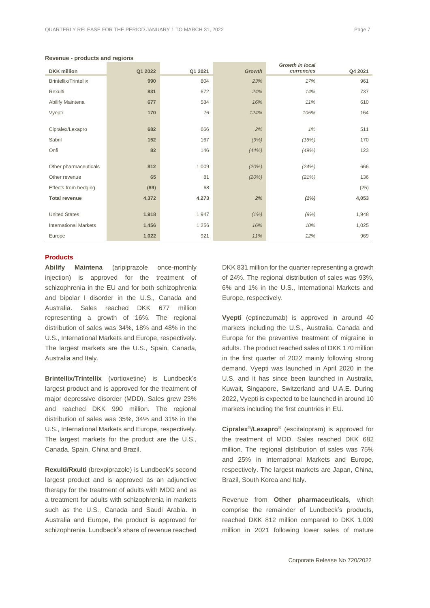| <b>DKK</b> million           | Q1 2022 | Q1 2021 | <b>Growth</b> | ווו ווו ווי טוש<br>currencies | Q4 2021 |
|------------------------------|---------|---------|---------------|-------------------------------|---------|
| <b>Brintellix/Trintellix</b> | 990     | 804     | 23%           | 17%                           | 961     |
| Rexulti                      | 831     | 672     | 24%           | 14%                           | 737     |
| Abilify Maintena             | 677     | 584     | 16%           | 11%                           | 610     |
| Vyepti                       | 170     | 76      | 124%          | 105%                          | 164     |
|                              |         |         |               |                               |         |
| Cipralex/Lexapro             | 682     | 666     | 2%            | 1%                            | 511     |
| Sabril                       | 152     | 167     | (9%)          | (16%)                         | 170     |
| Onfi                         | 82      | 146     | (44%)         | (49%)                         | 123     |
|                              |         |         |               |                               |         |
| Other pharmaceuticals        | 812     | 1,009   | (20%)         | (24%)                         | 666     |
| Other revenue                | 65      | 81      | (20%)         | (21%)                         | 136     |
| Effects from hedging         | (89)    | 68      |               |                               | (25)    |
| <b>Total revenue</b>         | 4,372   | 4,273   | 2%            | (1%)                          | 4,053   |
|                              |         |         |               |                               |         |
| <b>United States</b>         | 1,918   | 1,947   | (1%)          | (9%)                          | 1,948   |
| <b>International Markets</b> | 1,456   | 1,256   | 16%           | 10%                           | 1,025   |
| Europe                       | 1,022   | 921     | 11%           | 12%                           | 969     |

#### **Revenue - products and regions**

#### **Products**

**Abilify Maintena** (aripiprazole once-monthly injection) is approved for the treatment of schizophrenia in the EU and for both schizophrenia and bipolar I disorder in the U.S., Canada and Australia. Sales reached DKK 677 million representing a growth of 16%. The regional distribution of sales was 34%, 18% and 48% in the U.S., International Markets and Europe, respectively. The largest markets are the U.S., Spain, Canada, Australia and Italy.

**Brintellix/Trintellix** (vortioxetine) is Lundbeck's largest product and is approved for the treatment of major depressive disorder (MDD). Sales grew 23% and reached DKK 990 million. The regional distribution of sales was 35%, 34% and 31% in the U.S., International Markets and Europe, respectively. The largest markets for the product are the U.S., Canada, Spain, China and Brazil.

**Rexulti/Rxulti** (brexpiprazole) is Lundbeck's second largest product and is approved as an adjunctive therapy for the treatment of adults with MDD and as a treatment for adults with schizophrenia in markets such as the U.S., Canada and Saudi Arabia. In Australia and Europe, the product is approved for schizophrenia. Lundbeck's share of revenue reached

DKK 831 million for the quarter representing a growth of 24%. The regional distribution of sales was 93%, 6% and 1% in the U.S., International Markets and Europe, respectively.

*Growth in local* 

**Vyepti** (eptinezumab) is approved in around 40 markets including the U.S., Australia, Canada and Europe for the preventive treatment of migraine in adults. The product reached sales of DKK 170 million in the first quarter of 2022 mainly following strong demand. Vyepti was launched in April 2020 in the U.S. and it has since been launched in Australia, Kuwait, Singapore, Switzerland and U.A.E. During 2022, Vyepti is expected to be launched in around 10 markets including the first countries in EU.

**Cipralex®/Lexapro®** (escitalopram) is approved for the treatment of MDD. Sales reached DKK 682 million. The regional distribution of sales was 75% and 25% in International Markets and Europe, respectively. The largest markets are Japan, China, Brazil, South Korea and Italy.

Revenue from **Other pharmaceuticals**, which comprise the remainder of Lundbeck's products, reached DKK 812 million compared to DKK 1,009 million in 2021 following lower sales of mature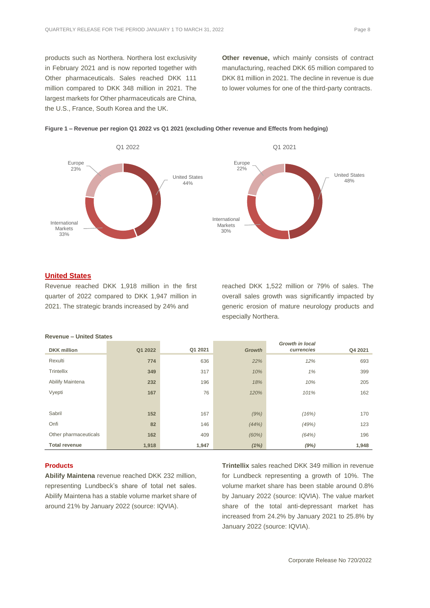products such as Northera. Northera lost exclusivity in February 2021 and is now reported together with Other pharmaceuticals. Sales reached DKK 111 million compared to DKK 348 million in 2021. The largest markets for Other pharmaceuticals are China, the U.S., France, South Korea and the UK.

**Other revenue,** which mainly consists of contract manufacturing, reached DKK 65 million compared to DKK 81 million in 2021. The decline in revenue is due to lower volumes for one of the third-party contracts.



#### **Figure 1 – Revenue per region Q1 2022 vs Q1 2021 (excluding Other revenue and Effects from hedging)**

#### **United States**

Revenue reached DKK 1,918 million in the first quarter of 2022 compared to DKK 1,947 million in 2021. The strategic brands increased by 24% and

reached DKK 1,522 million or 79% of sales. The overall sales growth was significantly impacted by generic erosion of mature neurology products and especially Northera.

| <b>DKK</b> million    | Q1 2022 | Q1 2021 | <b>Growth</b> | Growth in local<br>currencies | Q4 2021 |
|-----------------------|---------|---------|---------------|-------------------------------|---------|
| Rexulti               | 774     | 636     | 22%           | 12%                           | 693     |
| Trintellix            | 349     | 317     | 10%           | 1%                            | 399     |
| Abilify Maintena      | 232     | 196     | 18%           | 10%                           | 205     |
| Vyepti                | 167     | 76      | 120%          | 101%                          | 162     |
|                       |         |         |               |                               |         |
| Sabril                | 152     | 167     | (9%)          | (16%)                         | 170     |
| Onfi                  | 82      | 146     | (44% )        | (49%)                         | 123     |
| Other pharmaceuticals | 162     | 409     | (60%)         | (64%)                         | 196     |
| <b>Total revenue</b>  | 1,918   | 1,947   | (1%)          | (9%)                          | 1,948   |

**Revenue – United States**

#### **Products**

**Abilify Maintena** revenue reached DKK 232 million, representing Lundbeck's share of total net sales. Abilify Maintena has a stable volume market share of around 21% by January 2022 (source: IQVIA).

**Trintellix** sales reached DKK 349 million in revenue for Lundbeck representing a growth of 10%. The volume market share has been stable around 0.8% by January 2022 (source: IQVIA). The value market share of the total anti-depressant market has increased from 24.2% by January 2021 to 25.8% by January 2022 (source: IQVIA).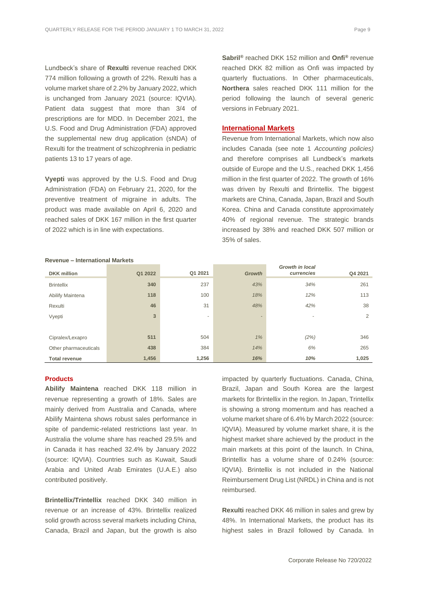Lundbeck's share of **Rexulti** revenue reached DKK 774 million following a growth of 22%. Rexulti has a volume market share of 2.2% by January 2022, which is unchanged from January 2021 (source: IQVIA). Patient data suggest that more than 3/4 of prescriptions are for MDD. In December 2021, the U.S. Food and Drug Administration (FDA) approved the supplemental new drug application (sNDA) of Rexulti for the treatment of schizophrenia in pediatric patients 13 to 17 years of age.

**Vyepti** was approved by the U.S. Food and Drug Administration (FDA) on February 21, 2020, for the preventive treatment of migraine in adults. The product was made available on April 6, 2020 and reached sales of DKK 167 million in the first quarter of 2022 which is in line with expectations.

**Sabril®** reached DKK 152 million and **Onfi®** revenue reached DKK 82 million as Onfi was impacted by quarterly fluctuations. In Other pharmaceuticals, **Northera** sales reached DKK 111 million for the period following the launch of several generic versions in February 2021.

#### **International Markets**

Revenue from International Markets, which now also includes Canada (see note 1 *Accounting policies)*  and therefore comprises all Lundbeck's markets outside of Europe and the U.S., reached DKK 1,456 million in the first quarter of 2022. The growth of 16% was driven by Rexulti and Brintellix. The biggest markets are China, Canada, Japan, Brazil and South Korea. China and Canada constitute approximately 40% of regional revenue. The strategic brands increased by 38% and reached DKK 507 million or 35% of sales.

| <b>DKK</b> million    | Q1 2022 | Q1 2021 | <b>Growth</b>  | <b>Growth in local</b><br>currencies | Q4 2021 |
|-----------------------|---------|---------|----------------|--------------------------------------|---------|
| <b>Brintellix</b>     | 340     | 237     | 43%            | 34%                                  | 261     |
| Abilify Maintena      | 118     | 100     | 18%            | 12%                                  | 113     |
| Rexulti               | 46      | 31      | 48%            | 42%                                  | 38      |
| Vyepti                | 3       | ٠       | $\overline{a}$ | $\overline{\phantom{a}}$             | 2       |
|                       |         |         |                |                                      |         |
| Cipralex/Lexapro      | 511     | 504     | 1%             | (2%)                                 | 346     |
| Other pharmaceuticals | 438     | 384     | 14%            | 6%                                   | 265     |
| <b>Total revenue</b>  | 1,456   | 1,256   | 16%            | 10%                                  | 1,025   |

#### **Revenue – International Markets**

#### **Products**

**Abilify Maintena** reached DKK 118 million in revenue representing a growth of 18%. Sales are mainly derived from Australia and Canada, where Abilify Maintena shows robust sales performance in spite of pandemic-related restrictions last year. In Australia the volume share has reached 29.5% and in Canada it has reached 32.4% by January 2022 (source: IQVIA). Countries such as Kuwait, Saudi Arabia and United Arab Emirates (U.A.E.) also contributed positively.

**Brintellix/Trintellix** reached DKK 340 million in revenue or an increase of 43%. Brintellix realized solid growth across several markets including China, Canada, Brazil and Japan, but the growth is also impacted by quarterly fluctuations. Canada, China, Brazil, Japan and South Korea are the largest markets for Brintellix in the region. In Japan, Trintellix is showing a strong momentum and has reached a volume market share of 6.4% by March 2022 (source: IQVIA). Measured by volume market share, it is the highest market share achieved by the product in the main markets at this point of the launch. In China, Brintellix has a volume share of 0.24% (source: IQVIA). Brintellix is not included in the National Reimbursement Drug List (NRDL) in China and is not reimbursed.

**Rexulti** reached DKK 46 million in sales and grew by 48%. In International Markets, the product has its highest sales in Brazil followed by Canada. In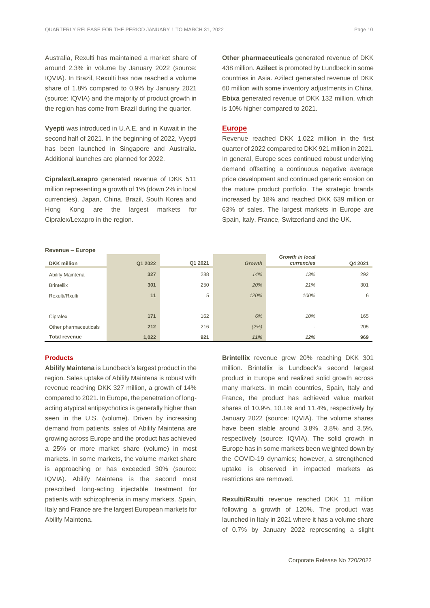Australia, Rexulti has maintained a market share of around 2.3% in volume by January 2022 (source: IQVIA). In Brazil, Rexulti has now reached a volume share of 1.8% compared to 0.9% by January 2021 (source: IQVIA) and the majority of product growth in the region has come from Brazil during the quarter.

**Vyepti** was introduced in U.A.E. and in Kuwait in the second half of 2021. In the beginning of 2022, Vyepti has been launched in Singapore and Australia. Additional launches are planned for 2022.

**Cipralex/Lexapro** generated revenue of DKK 511 million representing a growth of 1% (down 2% in local currencies). Japan, China, Brazil, South Korea and Hong Kong are the largest markets for Cipralex/Lexapro in the region.

**Other pharmaceuticals** generated revenue of DKK 438 million. **Azilect** is promoted by Lundbeck in some countries in Asia. Azilect generated revenue of DKK 60 million with some inventory adjustments in China. **Ebixa** generated revenue of DKK 132 million, which is 10% higher compared to 2021.

#### **Europe**

Revenue reached DKK 1,022 million in the first quarter of 2022 compared to DKK 921 million in 2021. In general, Europe sees continued robust underlying demand offsetting a continuous negative average price development and continued generic erosion on the mature product portfolio. The strategic brands increased by 18% and reached DKK 639 million or 63% of sales. The largest markets in Europe are Spain, Italy, France, Switzerland and the UK.

| <b>DKK</b> million    | Q1 2022 | Q1 2021 | <b>Growth</b> | <b>Growth in local</b><br>currencies | Q4 2021 |
|-----------------------|---------|---------|---------------|--------------------------------------|---------|
| Abilify Maintena      | 327     | 288     | 14%           | 13%                                  | 292     |
| <b>Brintellix</b>     | 301     | 250     | 20%           | 21%                                  | 301     |
| Rexulti/Rxulti        | 11      | 5       | 120%          | 100%                                 | 6       |
|                       |         |         |               |                                      |         |
| Cipralex              | 171     | 162     | 6%            | 10%                                  | 165     |
| Other pharmaceuticals | 212     | 216     | (2%)          | -                                    | 205     |
| <b>Total revenue</b>  | 1,022   | 921     | 11%           | 12%                                  | 969     |

**Revenue – Europe**

#### **Products**

**Abilify Maintena** is Lundbeck's largest product in the region. Sales uptake of Abilify Maintena is robust with revenue reaching DKK 327 million, a growth of 14% compared to 2021. In Europe, the penetration of longacting atypical antipsychotics is generally higher than seen in the U.S. (volume). Driven by increasing demand from patients, sales of Abilify Maintena are growing across Europe and the product has achieved a 25% or more market share (volume) in most markets. In some markets, the volume market share is approaching or has exceeded 30% (source: IQVIA). Abilify Maintena is the second most prescribed long-acting injectable treatment for patients with schizophrenia in many markets. Spain, Italy and France are the largest European markets for Abilify Maintena.

**Brintellix** revenue grew 20% reaching DKK 301 million. Brintellix is Lundbeck's second largest product in Europe and realized solid growth across many markets. In main countries, Spain, Italy and France, the product has achieved value market shares of 10.9%, 10.1% and 11.4%, respectively by January 2022 (source: IQVIA). The volume shares have been stable around 3.8%, 3.8% and 3.5%, respectively (source: IQVIA). The solid growth in Europe has in some markets been weighted down by the COVID-19 dynamics; however, a strengthened uptake is observed in impacted markets as restrictions are removed.

**Rexulti/Rxulti** revenue reached DKK 11 million following a growth of 120%. The product was launched in Italy in 2021 where it has a volume share of 0.7% by January 2022 representing a slight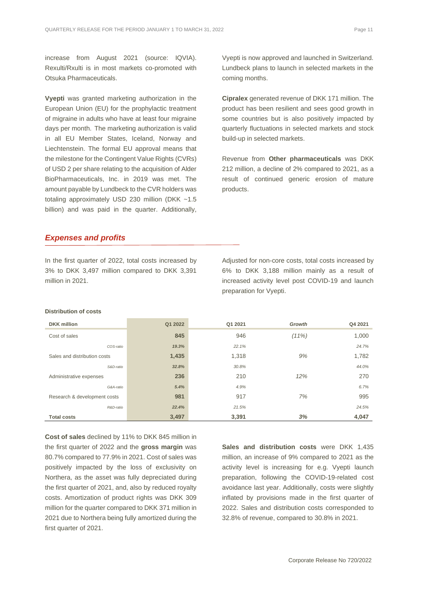increase from August 2021 (source: IQVIA). Rexulti/Rxulti is in most markets co-promoted with Otsuka Pharmaceuticals.

**Vyepti** was granted marketing authorization in the European Union (EU) for the prophylactic treatment of migraine in adults who have at least four migraine days per month. The marketing authorization is valid in all EU Member States, Iceland, Norway and Liechtenstein. The formal EU approval means that the milestone for the Contingent Value Rights (CVRs) of USD 2 per share relating to the acquisition of Alder BioPharmaceuticals, Inc. in 2019 was met. The amount payable by Lundbeck to the CVR holders was totaling approximately USD 230 million (DKK ~1.5 billion) and was paid in the quarter. Additionally,

Vyepti is now approved and launched in Switzerland. Lundbeck plans to launch in selected markets in the coming months.

**Cipralex** generated revenue of DKK 171 million. The product has been resilient and sees good growth in some countries but is also positively impacted by quarterly fluctuations in selected markets and stock build-up in selected markets.

Revenue from **Other pharmaceuticals** was DKK 212 million, a decline of 2% compared to 2021, as a result of continued generic erosion of mature products.

#### <span id="page-10-0"></span>*Expenses and profits*

**Distribution of costs**

In the first quarter of 2022, total costs increased by 3% to DKK 3,497 million compared to DKK 3,391 million in 2021.

Adjusted for non-core costs, total costs increased by 6% to DKK 3,188 million mainly as a result of increased activity level post COVID-19 and launch preparation for Vyepti.

| <b>DKK</b> million           | Q1 2022 | Q1 2021 | Growth | Q4 2021 |
|------------------------------|---------|---------|--------|---------|
| Cost of sales                | 845     | 946     | (11%)  | 1,000   |
| COS-ratio                    | 19.3%   | 22.1%   |        | 24.7%   |
| Sales and distribution costs | 1,435   | 1,318   | 9%     | 1,782   |
| S&D-ratio                    | 32.8%   | 30.8%   |        | 44.0%   |
| Administrative expenses      | 236     | 210     | 12%    | 270     |
| G&A-ratio                    | 5.4%    | 4.9%    |        | 6.7%    |
| Research & development costs | 981     | 917     | 7%     | 995     |
| R&D-ratio                    | 22.4%   | 21.5%   |        | 24.5%   |
| <b>Total costs</b>           | 3,497   | 3.391   | 3%     | 4,047   |

**Cost of sales** declined by 11% to DKK 845 million in the first quarter of 2022 and the **gross margin** was 80.7% compared to 77.9% in 2021. Cost of sales was positively impacted by the loss of exclusivity on Northera, as the asset was fully depreciated during the first quarter of 2021, and, also by reduced royalty costs. Amortization of product rights was DKK 309 million for the quarter compared to DKK 371 million in 2021 due to Northera being fully amortized during the first quarter of 2021.

**Sales and distribution costs** were DKK 1,435 million, an increase of 9% compared to 2021 as the activity level is increasing for e.g. Vyepti launch preparation, following the COVID-19-related cost avoidance last year. Additionally, costs were slightly inflated by provisions made in the first quarter of 2022. Sales and distribution costs corresponded to 32.8% of revenue, compared to 30.8% in 2021.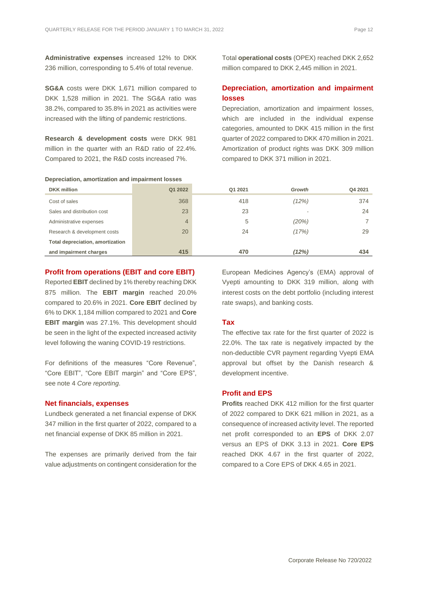**Administrative expenses** increased 12% to DKK 236 million, corresponding to 5.4% of total revenue.

**SG&A** costs were DKK 1,671 million compared to DKK 1,528 million in 2021. The SG&A ratio was 38.2%, compared to 35.8% in 2021 as activities were increased with the lifting of pandemic restrictions.

**Research & development costs** were DKK 981 million in the quarter with an R&D ratio of 22.4%. Compared to 2021, the R&D costs increased 7%.

**Depreciation, amortization and impairment losses**

Total **operational costs** (OPEX) reached DKK 2,652 million compared to DKK 2,445 million in 2021.

#### **Depreciation, amortization and impairment losses**

Depreciation, amortization and impairment losses, which are included in the individual expense categories, amounted to DKK 415 million in the first quarter of 2022 compared to DKK 470 million in 2021. Amortization of product rights was DKK 309 million compared to DKK 371 million in 2021.

| <b>DKK</b> million                      | Q1 2022        | Q1 2021 | Growth | Q4 2021 |
|-----------------------------------------|----------------|---------|--------|---------|
| Cost of sales                           | 368            | 418     | (12%)  | 374     |
| Sales and distribution cost             | 23             | 23      |        | 24      |
| Administrative expenses                 | $\overline{4}$ | 5       | (20%)  |         |
| Research & development costs            | 20             | 24      | (17%)  | 29      |
| <b>Total depreciation, amortization</b> |                |         |        |         |
| and impairment charges                  | 415            | 470     | (12%)  | 434     |

#### **Profit from operations (EBIT and core EBIT)**

Reported **EBIT** declined by 1% thereby reaching DKK 875 million. The **EBIT margin** reached 20.0% compared to 20.6% in 2021. **Core EBIT** declined by 6% to DKK 1,184 million compared to 2021 and **Core EBIT margin** was 27.1%. This development should be seen in the light of the expected increased activity level following the waning COVID-19 restrictions.

For definitions of the measures "Core Revenue", "Core EBIT", "Core EBIT margin" and "Core EPS", see note 4 *Core reporting*.

#### **Net financials, expenses**

Lundbeck generated a net financial expense of DKK 347 million in the first quarter of 2022, compared to a net financial expense of DKK 85 million in 2021.

<span id="page-11-0"></span>The expenses are primarily derived from the fair value adjustments on contingent consideration for the European Medicines Agency's (EMA) approval of Vyepti amounting to DKK 319 million, along with interest costs on the debt portfolio (including interest rate swaps), and banking costs.

#### **Tax**

The effective tax rate for the first quarter of 2022 is 22.0%. The tax rate is negatively impacted by the non-deductible CVR payment regarding Vyepti EMA approval but offset by the Danish research & development incentive.

#### **Profit and EPS**

**Profits** reached DKK 412 million for the first quarter of 2022 compared to DKK 621 million in 2021, as a consequence of increased activity level. The reported net profit corresponded to an **EPS** of DKK 2.07 versus an EPS of DKK 3.13 in 2021. **Core EPS** reached DKK 4.67 in the first quarter of 2022, compared to a Core EPS of DKK 4.65 in 2021.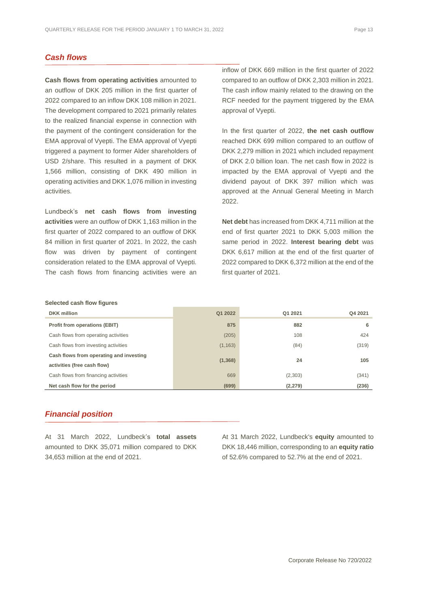### *Cash flows*

**Cash flows from operating activities** amounted to an outflow of DKK 205 million in the first quarter of 2022 compared to an inflow DKK 108 million in 2021. The development compared to 2021 primarily relates to the realized financial expense in connection with the payment of the contingent consideration for the EMA approval of Vyepti. The EMA approval of Vyepti triggered a payment to former Alder shareholders of USD 2/share. This resulted in a payment of DKK 1,566 million, consisting of DKK 490 million in operating activities and DKK 1,076 million in investing activities.

Lundbeck's **net cash flows from investing activities** were an outflow of DKK 1,163 million in the first quarter of 2022 compared to an outflow of DKK 84 million in first quarter of 2021. In 2022, the cash flow was driven by payment of contingent consideration related to the EMA approval of Vyepti. The cash flows from financing activities were an

inflow of DKK 669 million in the first quarter of 2022 compared to an outflow of DKK 2,303 million in 2021. The cash inflow mainly related to the drawing on the RCF needed for the payment triggered by the EMA approval of Vyepti.

In the first quarter of 2022, **the net cash outflow** reached DKK 699 million compared to an outflow of DKK 2,279 million in 2021 which included repayment of DKK 2.0 billion loan. The net cash flow in 2022 is impacted by the EMA approval of Vyepti and the dividend payout of DKK 397 million which was approved at the Annual General Meeting in March 2022.

**Net debt** has increased from DKK 4,711 million at the end of first quarter 2021 to DKK 5,003 million the same period in 2022. **Interest bearing debt** was DKK 6,617 million at the end of the first quarter of 2022 compared to DKK 6,372 million at the end of the first quarter of 2021.

#### **Selected cash flow figures**

| <b>DKK</b> million                      | Q1 2022  | Q1 2021  | Q4 2021 |
|-----------------------------------------|----------|----------|---------|
| <b>Profit from operations (EBIT)</b>    | 875      | 882      | 6       |
| Cash flows from operating activities    | (205)    | 108      | 424     |
| Cash flows from investing activities    | (1, 163) | (84)     | (319)   |
| Cash flows from operating and investing |          |          |         |
| activities (free cash flow)             | (1, 368) | 24       | 105     |
| Cash flows from financing activities    | 669      | (2,303)  | (341)   |
| Net cash flow for the period            | (699)    | (2, 279) | (236)   |

#### <span id="page-12-0"></span>*Financial position*

At 31 March 2022, Lundbeck's **total assets** amounted to DKK 35,071 million compared to DKK 34,653 million at the end of 2021.

<span id="page-12-1"></span>At 31 March 2022, Lundbeck's **equity** amounted to DKK 18,446 million, corresponding to an **equity ratio** of 52.6% compared to 52.7% at the end of 2021.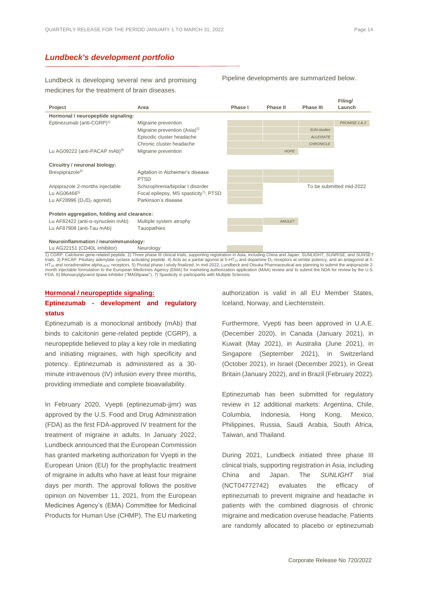#### *Lundbeck's development portfolio*

Lundbeck is developing several new and promising medicines for the treatment of brain diseases.

Pipeline developments are summarized below.



1) CGRP: Calcitonin gene-related peptide. 2) Three phase III clinical trials, supporting registration in Asia, including China and Japan: *SUNLIGHT, SUNRISE*, and *SUNSET*<br>trials. 3) PACAP: Pituitary adenylate cyclase acti HT2A and noradrenaline alpha<sub>19/2C</sub> receptors. 5) Pivotal phase I study finalized; In mid-2022, Lundbeck and Otsuka Pharmaceutical are planning to submit the aripiprazole 2-<br>month injectable formulation to the European Me FDA. 6) Monoacylglycerol lipase inhibitor ("MAGlipase"). 7) Spasticity in participants with Multiple Sclerosis.

#### **Hormonal / neuropeptide signaling: Eptinezumab - development and regulatory status**

Eptinezumab is a monoclonal antibody (mAb) that binds to calcitonin gene-related peptide (CGRP), a neuropeptide believed to play a key role in mediating and initiating migraines, with high specificity and potency. Eptinezumab is administered as a 30 minute intravenous (IV) infusion every three months, providing immediate and complete bioavailability.

In February 2020, Vyepti (eptinezumab-jjmr) was approved by the U.S. Food and Drug Administration (FDA) as the first FDA-approved IV treatment for the treatment of migraine in adults. In January 2022, Lundbeck announced that the European Commission has granted marketing authorization for Vyepti in the European Union (EU) for the prophylactic treatment of migraine in adults who have at least four migraine days per month. The approval follows the positive opinion on November 11, 2021, from the European Medicines Agency's (EMA) Committee for Medicinal Products for Human Use (CHMP). The EU marketing authorization is valid in all EU Member States, Iceland, Norway, and Liechtenstein.

Furthermore, Vyepti has been approved in U.A.E. (December 2020), in Canada (January 2021), in Kuwait (May 2021), in Australia (June 2021), in Singapore (September 2021), in Switzerland (October 2021), in Israel (December 2021), in Great Britain (January 2022), and in Brazil (February 2022).

Eptinezumab has been submitted for regulatory review in 12 additional markets: Argentina, Chile, Columbia, Indonesia, Hong Kong, Mexico, Philippines, Russia, Saudi Arabia, South Africa, Taiwan, and Thailand.

During 2021, Lundbeck initiated three phase III clinical trials, supporting registration in Asia, including China and Japan. The *SUNLIGHT* trial (NCT04772742) evaluates the efficacy of eptinezumab to prevent migraine and headache in patients with the combined diagnosis of chronic migraine and medication overuse headache. Patients are randomly allocated to placebo or eptinezumab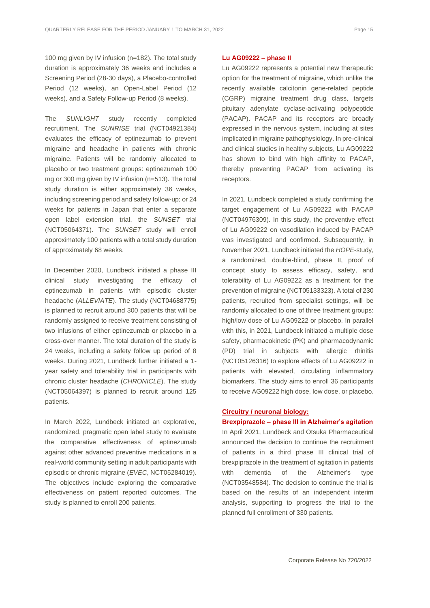100 mg given by IV infusion (n=182). The total study duration is approximately 36 weeks and includes a Screening Period (28-30 days), a Placebo-controlled Period (12 weeks), an Open-Label Period (12 weeks), and a Safety Follow-up Period (8 weeks).

The *SUNLIGHT* study recently completed recruitment. The *SUNRISE* trial (NCT04921384) evaluates the efficacy of eptinezumab to prevent migraine and headache in patients with chronic migraine. Patients will be randomly allocated to placebo or two treatment groups: eptinezumab 100 mg or 300 mg given by IV infusion (n=513). The total study duration is either approximately 36 weeks, including screening period and safety follow-up; or 24 weeks for patients in Japan that enter a separate open label extension trial, the *SUNSET* trial (NCT05064371). The *SUNSET* study will enroll approximately 100 patients with a total study duration of approximately 68 weeks.

In December 2020, Lundbeck initiated a phase III clinical study investigating the efficacy of eptinezumab in patients with episodic cluster headache (*ALLEVIATE*). The study (NCT04688775) is planned to recruit around 300 patients that will be randomly assigned to receive treatment consisting of two infusions of either eptinezumab or placebo in a cross-over manner. The total duration of the study is 24 weeks, including a safety follow up period of 8 weeks. During 2021, Lundbeck further initiated a 1 year safety and tolerability trial in participants with chronic cluster headache (*CHRONICLE*). The study (NCT05064397) is planned to recruit around 125 patients.

In March 2022, Lundbeck initiated an explorative, randomized, pragmatic open label study to evaluate the comparative effectiveness of eptinezumab against other advanced preventive medications in a real-world community setting in adult participants with episodic or chronic migraine (*EVEC*, NCT05284019). The objectives include exploring the comparative effectiveness on patient reported outcomes. The study is planned to enroll 200 patients.

#### **Lu AG09222 – phase II**

Lu AG09222 represents a potential new therapeutic option for the treatment of migraine, which unlike the recently available calcitonin gene-related peptide (CGRP) migraine treatment drug class, targets pituitary adenylate cyclase-activating polypeptide (PACAP). PACAP and its receptors are broadly expressed in the nervous system, including at sites implicated in migraine pathophysiology. In pre-clinical and clinical studies in healthy subjects, Lu AG09222 has shown to bind with high affinity to PACAP, thereby preventing PACAP from activating its receptors.

In 2021, Lundbeck completed a study confirming the target engagement of Lu AG09222 with PACAP (NCT04976309). In this study, the preventive effect of Lu AG09222 on vasodilation induced by PACAP was investigated and confirmed. Subsequently, in November 2021, Lundbeck initiated the *HOPE*-study, a randomized, double-blind, phase II, proof of concept study to assess efficacy, safety, and tolerability of Lu AG09222 as a treatment for the prevention of migraine (NCT05133323). A total of 230 patients, recruited from specialist settings, will be randomly allocated to one of three treatment groups: high/low dose of Lu AG09222 or placebo. In parallel with this, in 2021, Lundbeck initiated a multiple dose safety, pharmacokinetic (PK) and pharmacodynamic (PD) trial in subjects with allergic rhinitis (NCT05126316) to explore effects of Lu AG09222 in patients with elevated, circulating inflammatory biomarkers. The study aims to enroll 36 participants to receive AG09222 high dose, low dose, or placebo.

#### **Circuitry / neuronal biology:**

**Brexpiprazole – phase III in Alzheimer's agitation**

In April 2021, Lundbeck and Otsuka Pharmaceutical announced the decision to continue the recruitment of patients in a third phase III clinical trial of brexpiprazole in the treatment of agitation in patients with dementia of the Alzheimer's type (NCT03548584). The decision to continue the trial is based on the results of an independent interim analysis, supporting to progress the trial to the planned full enrollment of 330 patients.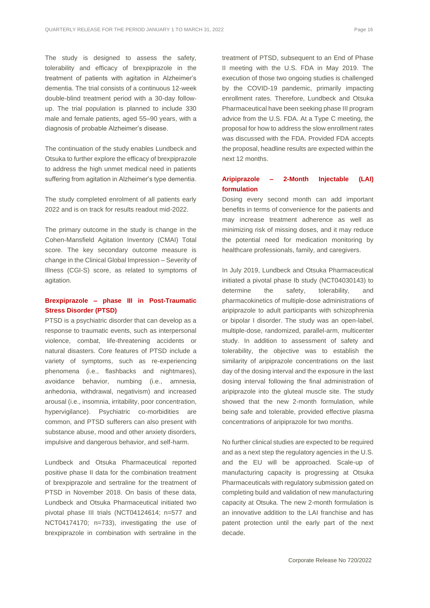The study is designed to assess the safety, tolerability and efficacy of brexpiprazole in the treatment of patients with agitation in Alzheimer's dementia. The trial consists of a continuous 12-week double-blind treatment period with a 30-day followup. The trial population is planned to include 330 male and female patients, aged 55–90 years, with a diagnosis of probable Alzheimer's disease.

The continuation of the study enables Lundbeck and Otsuka to further explore the efficacy of brexpiprazole to address the high unmet medical need in patients suffering from agitation in Alzheimer's type dementia.

The study completed enrolment of all patients early 2022 and is on track for results readout mid-2022.

The primary outcome in the study is change in the Cohen-Mansfield Agitation Inventory (CMAI) Total score. The key secondary outcome measure is change in the Clinical Global Impression – Severity of Illness (CGI-S) score, as related to symptoms of agitation.

#### **Brexpiprazole – phase III in Post-Traumatic Stress Disorder (PTSD)**

PTSD is a psychiatric disorder that can develop as a response to traumatic events, such as interpersonal violence, combat, life-threatening accidents or natural disasters. Core features of PTSD include a variety of symptoms, such as re-experiencing phenomena (i.e., flashbacks and nightmares), avoidance behavior, numbing (i.e., amnesia, anhedonia, withdrawal, negativism) and increased arousal (i.e., insomnia, irritability, poor concentration, hypervigilance). Psychiatric co-morbidities are common, and PTSD sufferers can also present with substance abuse, mood and other anxiety disorders, impulsive and dangerous behavior, and self-harm.

Lundbeck and Otsuka Pharmaceutical reported positive phase II data for the combination treatment of brexpiprazole and sertraline for the treatment of PTSD in November 2018. On basis of these data, Lundbeck and Otsuka Pharmaceutical initiated two pivotal phase III trials (NCT04124614; n=577 and NCT04174170; n=733), investigating the use of brexpiprazole in combination with sertraline in the treatment of PTSD, subsequent to an End of Phase II meeting with the U.S. FDA in May 2019. The execution of those two ongoing studies is challenged by the COVID-19 pandemic, primarily impacting enrollment rates. Therefore, Lundbeck and Otsuka Pharmaceutical have been seeking phase III program advice from the U.S. FDA. At a Type C meeting, the proposal for how to address the slow enrollment rates was discussed with the FDA. Provided FDA accepts the proposal, headline results are expected within the next 12 months.

#### **Aripiprazole – 2-Month Injectable (LAI) formulation**

Dosing every second month can add important benefits in terms of convenience for the patients and may increase treatment adherence as well as minimizing risk of missing doses, and it may reduce the potential need for medication monitoring by healthcare professionals, family, and caregivers.

In July 2019, Lundbeck and Otsuka Pharmaceutical initiated a pivotal phase Ib study (NCT04030143) to determine the safety, tolerability, and pharmacokinetics of multiple-dose administrations of aripiprazole to adult participants with schizophrenia or bipolar I disorder. The study was an open-label, multiple-dose, randomized, parallel-arm, multicenter study. In addition to assessment of safety and tolerability, the objective was to establish the similarity of aripiprazole concentrations on the last day of the dosing interval and the exposure in the last dosing interval following the final administration of aripiprazole into the gluteal muscle site. The study showed that the new 2-month formulation, while being safe and tolerable, provided effective plasma concentrations of aripiprazole for two months.

No further clinical studies are expected to be required and as a next step the regulatory agencies in the U.S. and the EU will be approached. Scale-up of manufacturing capacity is progressing at Otsuka Pharmaceuticals with regulatory submission gated on completing build and validation of new manufacturing capacity at Otsuka. The new 2-month formulation is an innovative addition to the LAI franchise and has patent protection until the early part of the next decade.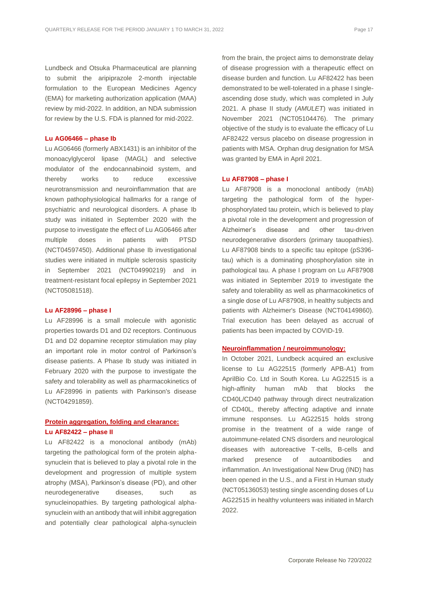Lundbeck and Otsuka Pharmaceutical are planning to submit the aripiprazole 2-month injectable formulation to the European Medicines Agency (EMA) for marketing authorization application (MAA) review by mid-2022. In addition, an NDA submission for review by the U.S. FDA is planned for mid-2022.

#### **Lu AG06466 – phase Ib**

Lu AG06466 (formerly ABX1431) is an inhibitor of the monoacylglycerol lipase (MAGL) and selective modulator of the endocannabinoid system, and thereby works to reduce excessive neurotransmission and neuroinflammation that are known pathophysiological hallmarks for a range of psychiatric and neurological disorders. A phase Ib study was initiated in September 2020 with the purpose to investigate the effect of Lu AG06466 after multiple doses in patients with PTSD (NCT04597450). Additional phase Ib investigational studies were initiated in multiple sclerosis spasticity in September 2021 (NCT04990219) and in treatment-resistant focal epilepsy in September 2021 (NCT05081518).

#### **Lu AF28996 – phase I**

Lu AF28996 is a small molecule with agonistic properties towards D1 and D2 receptors. Continuous D1 and D2 dopamine receptor stimulation may play an important role in motor control of Parkinson's disease patients. A Phase Ib study was initiated in February 2020 with the purpose to investigate the safety and tolerability as well as pharmacokinetics of Lu AF28996 in patients with Parkinson's disease (NCT04291859).

#### **Protein aggregation, folding and clearance: Lu AF82422 – phase II**

Lu AF82422 is a monoclonal antibody (mAb) targeting the pathological form of the protein alphasynuclein that is believed to play a pivotal role in the development and progression of multiple system atrophy (MSA), Parkinson's disease (PD), and other neurodegenerative diseases, such as synucleinopathies. By targeting pathological alphasynuclein with an antibody that will inhibit aggregation and potentially clear pathological alpha-synuclein from the brain, the project aims to demonstrate delay of disease progression with a therapeutic effect on disease burden and function. Lu AF82422 has been demonstrated to be well-tolerated in a phase I singleascending dose study, which was completed in July 2021. A phase II study (*AMULET*) was initiated in November 2021 (NCT05104476). The primary objective of the study is to evaluate the efficacy of Lu AF82422 versus placebo on disease progression in patients with MSA. Orphan drug designation for MSA was granted by EMA in April 2021.

#### **Lu AF87908 – phase I**

Lu AF87908 is a monoclonal antibody (mAb) targeting the pathological form of the hyperphosphorylated tau protein, which is believed to play a pivotal role in the development and progression of Alzheimer's disease and other tau-driven neurodegenerative disorders (primary tauopathies). Lu AF87908 binds to a specific tau epitope (pS396 tau) which is a dominating phosphorylation site in pathological tau. A phase I program on Lu AF87908 was initiated in September 2019 to investigate the safety and tolerability as well as pharmacokinetics of a single dose of Lu AF87908, in healthy subjects and patients with Alzheimer's Disease (NCT04149860). Trial execution has been delayed as accrual of patients has been impacted by COVID-19.

#### **Neuroinflammation / neuroimmunology:**

In October 2021, Lundbeck acquired an exclusive license to Lu AG22515 (formerly APB-A1) from AprilBio Co. Ltd in South Korea. Lu AG22515 is a high-affinity human mAb that blocks the CD40L/CD40 pathway through direct neutralization of CD40L, thereby affecting adaptive and innate immune responses. Lu AG22515 holds strong promise in the treatment of a wide range of autoimmune-related CNS disorders and neurological diseases with autoreactive T-cells, B-cells and marked presence of autoantibodies and inflammation. An Investigational New Drug (IND) has been opened in the U.S., and a First in Human study (NCT05136053) testing single ascending doses of Lu AG22515 in healthy volunteers was initiated in March 2022.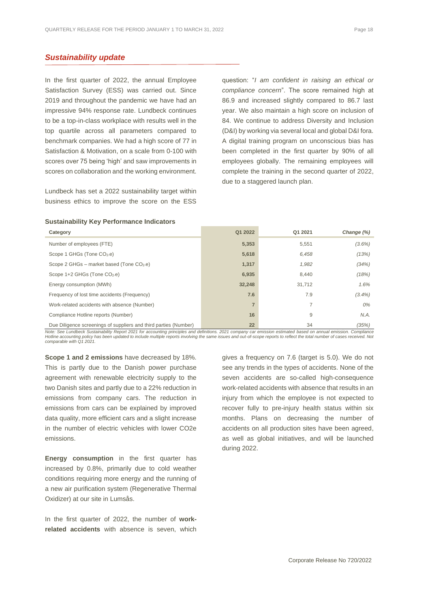#### <span id="page-17-0"></span>*Sustainability update*

In the first quarter of 2022, the annual Employee Satisfaction Survey (ESS) was carried out. Since 2019 and throughout the pandemic we have had an impressive 94% response rate. Lundbeck continues to be a top-in-class workplace with results well in the top quartile across all parameters compared to benchmark companies. We had a high score of 77 in Satisfaction & Motivation, on a scale from 0-100 with scores over 75 being 'high' and saw improvements in scores on collaboration and the working environment.

Lundbeck has set a 2022 sustainability target within business ethics to improve the score on the ESS

question: "*I am confident in raising an ethical or compliance concern*". The score remained high at 86.9 and increased slightly compared to 86.7 last year. We also maintain a high score on inclusion of 84. We continue to address Diversity and Inclusion (D&I) by working via several local and global D&I fora. A digital training program on unconscious bias has been completed in the first quarter by 90% of all employees globally. The remaining employees will complete the training in the second quarter of 2022, due to a staggered launch plan.

#### **Sustainability Key Performance Indicators**

| Category                                                         | Q1 2022        | Q1 2021 | Change (%) |
|------------------------------------------------------------------|----------------|---------|------------|
| Number of employees (FTE)                                        | 5,353          | 5,551   | $(3.6\%)$  |
| Scope 1 GHGs (Tone CO <sub>2-</sub> e)                           | 5,618          | 6,458   | (13%)      |
| Scope 2 GHGs – market based (Tone $CO2$ .e)                      | 1,317          | 1,982   | (34%)      |
| Scope 1+2 GHGs (Tone CO <sub>2-e</sub> )                         | 6,935          | 8.440   | (18%)      |
| Energy consumption (MWh)                                         | 32,248         | 31,712  | 1.6%       |
| Frequency of lost time accidents (Frequency)                     | 7.6            | 7.9     | $(3.4\%)$  |
| Work-related accidents with absence (Number)                     | $\overline{7}$ |         | 0%         |
| Compliance Hotline reports (Number)                              | 16             | 9       | N.A.       |
| Due Diligence screenings of suppliers and third parties (Number) | 22             | 34      | (35%)      |

Note: See Lundbeck Sustainability Report 2021 for accounting principles and definitions. 2021 company car emission estimated based on annual emission. Compliance<br>Hotline accounting policy has been updated to include multip *comparable with Q1 2021.* 

**Scope 1 and 2 emissions** have decreased by 18%. This is partly due to the Danish power purchase agreement with renewable electricity supply to the two Danish sites and partly due to a 22% reduction in emissions from company cars. The reduction in emissions from cars can be explained by improved data quality, more efficient cars and a slight increase in the number of electric vehicles with lower CO2e emissions.

**Energy consumption** in the first quarter has increased by 0.8%, primarily due to cold weather conditions requiring more energy and the running of a new air purification system (Regenerative Thermal Oxidizer) at our site in Lumsås.

In the first quarter of 2022, the number of **workrelated accidents** with absence is seven, which gives a frequency on 7.6 (target is 5.0). We do not see any trends in the types of accidents. None of the seven accidents are so-called high-consequence work-related accidents with absence that results in an injury from which the employee is not expected to recover fully to pre-injury health status within six months. Plans on decreasing the number of accidents on all production sites have been agreed, as well as global initiatives, and will be launched during 2022.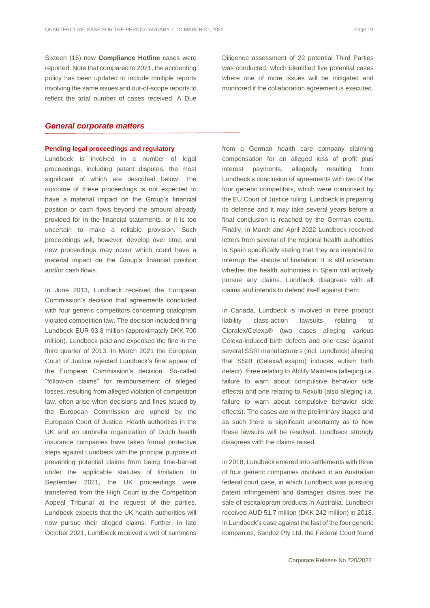Sixteen (16) new **Compliance Hotline** cases were reported. Note that compared to 2021, the accounting policy has been updated to include multiple reports involving the same issues and out-of-scope reports to reflect the total number of cases received. A Due Diligence assessment of 22 potential Third Parties was conducted, which identified five potential cases where one of more issues will be mitigated and monitored if the collaboration agreement is executed.

#### <span id="page-18-0"></span>*General corporate matters*

#### **Pending legal proceedings and regulatory**

Lundbeck is involved in a number of legal proceedings, including patent disputes, the most significant of which are described below. The outcome of these proceedings is not expected to have a material impact on the Group's financial position or cash flows beyond the amount already provided for in the financial statements, or it is too uncertain to make a reliable provision. Such proceedings will, however, develop over time, and new proceedings may occur which could have a material impact on the Group's financial position and/or cash flows.

In June 2013, Lundbeck received the European Commission's decision that agreements concluded with four generic competitors concerning citalopram violated competition law. The decision included fining Lundbeck EUR 93.8 million (approximately DKK 700 million). Lundbeck paid and expensed the fine in the third quarter of 2013. In March 2021 the European Court of Justice rejected Lundbeck's final appeal of the European Commission's decision. So-called "follow-on claims" for reimbursement of alleged losses, resulting from alleged violation of competition law, often arise when decisions and fines issued by the European Commission are upheld by the European Court of Justice. Health authorities in the UK and an umbrella organization of Dutch health insurance companies have taken formal protective steps against Lundbeck with the principal purpose of preventing potential claims from being time-barred under the applicable statutes of limitation. In September 2021, the UK proceedings were transferred from the High Court to the Competition Appeal Tribunal at the request of the parties. Lundbeck expects that the UK health authorities will now pursue their alleged claims. Further, in late October 2021, Lundbeck received a writ of summons from a German health care company claiming compensation for an alleged loss of profit plus interest payments, allegedly resulting from Lundbeck's conclusion of agreements with two of the four generic competitors, which were comprised by the EU Court of Justice ruling. Lundbeck is preparing its defense and it may take several years before a final conclusion is reached by the German courts. Finally, in March and April 2022 Lundbeck received letters from several of the regional health authorities in Spain specifically stating that they are intended to interrupt the statute of limitation. It is still uncertain whether the health authorities in Spain will actively pursue any claims. Lundbeck disagrees with all claims and intends to defend itself against them.

In Canada, Lundbeck is involved in three product liability class-action lawsuits relating to Cipralex/Celexa® (two cases alleging various Celexa-induced birth defects and one case against several SSRI manufacturers (incl. Lundbeck) alleging that SSRI (Celexa/Lexapro) induces autism birth defect), three relating to Abilify Maintena (alleging i.a. failure to warn about compulsive behavior side effects) and one relating to Rexulti (also alleging i.a. failure to warn about compulsive behavior side effects). The cases are in the preliminary stages and as such there is significant uncertainty as to how these lawsuits will be resolved. Lundbeck strongly disagrees with the claims raised.

In 2018, Lundbeck entered into settlements with three of four generic companies involved in an Australian federal court case, in which Lundbeck was pursuing patent infringement and damages claims over the sale of escitalopram products in Australia. Lundbeck received AUD 51.7 million (DKK 242 million) in 2018. In Lundbeck's case against the last of the four generic companies, Sandoz Pty Ltd, the Federal Court found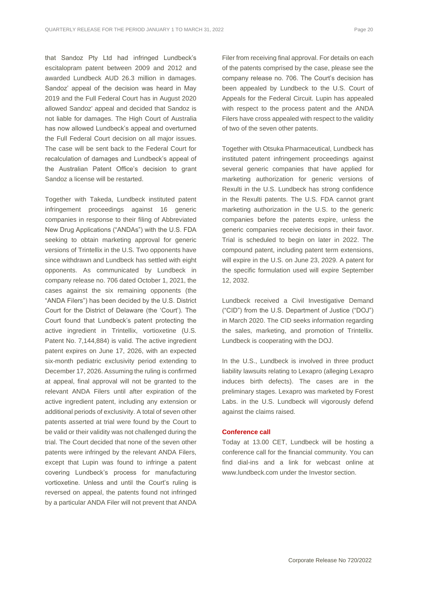that Sandoz Pty Ltd had infringed Lundbeck's escitalopram patent between 2009 and 2012 and awarded Lundbeck AUD 26.3 million in damages. Sandoz' appeal of the decision was heard in May 2019 and the Full Federal Court has in August 2020 allowed Sandoz' appeal and decided that Sandoz is not liable for damages. The High Court of Australia has now allowed Lundbeck's appeal and overturned the Full Federal Court decision on all major issues. The case will be sent back to the Federal Court for recalculation of damages and Lundbeck's appeal of the Australian Patent Office's decision to grant Sandoz a license will be restarted.

Together with Takeda, Lundbeck instituted patent infringement proceedings against 16 generic companies in response to their filing of Abbreviated New Drug Applications ("ANDAs") with the U.S. FDA seeking to obtain marketing approval for generic versions of Trintellix in the U.S. Two opponents have since withdrawn and Lundbeck has settled with eight opponents. As communicated by Lundbeck in company release no. 706 dated October 1, 2021, the cases against the six remaining opponents (the "ANDA Filers") has been decided by the U.S. District Court for the District of Delaware (the 'Court'). The Court found that Lundbeck's patent protecting the active ingredient in Trintellix, vortioxetine (U.S. Patent No. 7,144,884) is valid. The active ingredient patent expires on June 17, 2026, with an expected six-month pediatric exclusivity period extending to December 17, 2026. Assuming the ruling is confirmed at appeal, final approval will not be granted to the relevant ANDA Filers until after expiration of the active ingredient patent, including any extension or additional periods of exclusivity. A total of seven other patents asserted at trial were found by the Court to be valid or their validity was not challenged during the trial. The Court decided that none of the seven other patents were infringed by the relevant ANDA Filers, except that Lupin was found to infringe a patent covering Lundbeck's process for manufacturing vortioxetine. Unless and until the Court's ruling is reversed on appeal, the patents found not infringed by a particular ANDA Filer will not prevent that ANDA

Filer from receiving final approval. For details on each of the patents comprised by the case, please see the company release no. 706. The Court's decision has been appealed by Lundbeck to the U.S. Court of Appeals for the Federal Circuit. Lupin has appealed with respect to the process patent and the ANDA Filers have cross appealed with respect to the validity of two of the seven other patents.

Together with Otsuka Pharmaceutical, Lundbeck has instituted patent infringement proceedings against several generic companies that have applied for marketing authorization for generic versions of Rexulti in the U.S. Lundbeck has strong confidence in the Rexulti patents. The U.S. FDA cannot grant marketing authorization in the U.S. to the generic companies before the patents expire, unless the generic companies receive decisions in their favor. Trial is scheduled to begin on later in 2022. The compound patent, including patent term extensions, will expire in the U.S. on June 23, 2029. A patent for the specific formulation used will expire September 12, 2032.

Lundbeck received a Civil Investigative Demand ("CID") from the U.S. Department of Justice ("DOJ") in March 2020. The CID seeks information regarding the sales, marketing, and promotion of Trintellix. Lundbeck is cooperating with the DOJ.

In the U.S., Lundbeck is involved in three product liability lawsuits relating to Lexapro (alleging Lexapro induces birth defects). The cases are in the preliminary stages. Lexapro was marketed by Forest Labs. in the U.S. Lundbeck will vigorously defend against the claims raised.

#### **Conference call**

Today at 13.00 CET, Lundbeck will be hosting a conference call for the financial community. You can find dial-ins and a link for webcast online at www.lundbeck.com under the Investor section.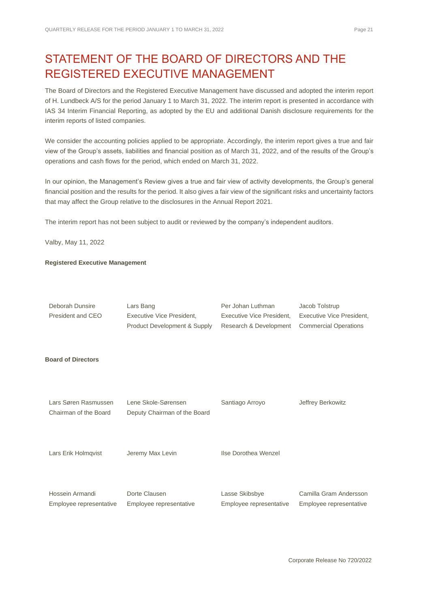# <span id="page-20-0"></span>STATEMENT OF THE BOARD OF DIRECTORS AND THE REGISTERED EXECUTIVE MANAGEMENT

The Board of Directors and the Registered Executive Management have discussed and adopted the interim report of H. Lundbeck A/S for the period January 1 to March 31, 2022. The interim report is presented in accordance with IAS 34 Interim Financial Reporting, as adopted by the EU and additional Danish disclosure requirements for the interim reports of listed companies.

We consider the accounting policies applied to be appropriate. Accordingly, the interim report gives a true and fair view of the Group's assets, liabilities and financial position as of March 31, 2022, and of the results of the Group's operations and cash flows for the period, which ended on March 31, 2022.

In our opinion, the Management's Review gives a true and fair view of activity developments, the Group's general financial position and the results for the period. It also gives a fair view of the significant risks and uncertainty factors that may affect the Group relative to the disclosures in the Annual Report 2021.

The interim report has not been subject to audit or reviewed by the company's independent auditors.

Valby, May 11, 2022

#### **Registered Executive Management**

| Deborah Dunsire<br>President and CEO          | Lars Bang<br><b>Executive Vice President,</b><br>Product Development & Supply | Per Johan Luthman<br><b>Executive Vice President,</b><br>Research & Development | Jacob Tolstrup<br>Executive Vice President,<br><b>Commercial Operations</b> |
|-----------------------------------------------|-------------------------------------------------------------------------------|---------------------------------------------------------------------------------|-----------------------------------------------------------------------------|
| <b>Board of Directors</b>                     |                                                                               |                                                                                 |                                                                             |
| Lars Søren Rasmussen<br>Chairman of the Board | Lene Skole-Sørensen<br>Deputy Chairman of the Board                           | Santiago Arroyo                                                                 | Jeffrey Berkowitz                                                           |
| Lars Erik Holmqvist                           | Jeremy Max Levin                                                              | Ilse Dorothea Wenzel                                                            |                                                                             |
| Hossein Armandi<br>Employee representative    | Dorte Clausen<br>Employee representative                                      | Lasse Skibsbye<br>Employee representative                                       | Camilla Gram Andersson<br>Employee representative                           |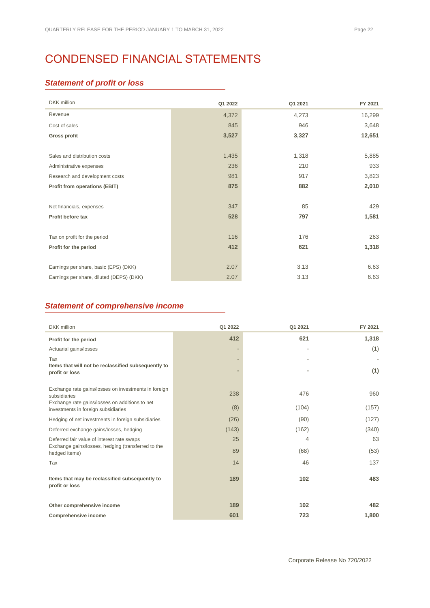# <span id="page-21-0"></span>CONDENSED FINANCIAL STATEMENTS

### *Statement of profit or loss*

| <b>DKK</b> million                       | Q1 2022 | Q1 2021 | FY 2021 |
|------------------------------------------|---------|---------|---------|
| Revenue                                  | 4,372   | 4,273   | 16,299  |
| Cost of sales                            | 845     | 946     | 3,648   |
| Gross profit                             | 3,527   | 3,327   | 12,651  |
|                                          |         |         |         |
| Sales and distribution costs             | 1,435   | 1,318   | 5,885   |
| Administrative expenses                  | 236     | 210     | 933     |
| Research and development costs           | 981     | 917     | 3,823   |
| <b>Profit from operations (EBIT)</b>     | 875     | 882     | 2,010   |
|                                          |         |         |         |
| Net financials, expenses                 | 347     | 85      | 429     |
| Profit before tax                        | 528     | 797     | 1,581   |
|                                          |         |         |         |
| Tax on profit for the period             | 116     | 176     | 263     |
| Profit for the period                    | 412     | 621     | 1,318   |
|                                          |         |         |         |
| Earnings per share, basic (EPS) (DKK)    | 2.07    | 3.13    | 6.63    |
| Earnings per share, diluted (DEPS) (DKK) | 2.07    | 3.13    | 6.63    |

## *Statement of comprehensive income*

| <b>DKK</b> million                                                                                                     | Q1 2022                                              | Q1 2021 | FY 2021 |
|------------------------------------------------------------------------------------------------------------------------|------------------------------------------------------|---------|---------|
| Profit for the period                                                                                                  | 412                                                  | 621     | 1,318   |
| Actuarial gains/losses                                                                                                 |                                                      |         | (1)     |
| Tax<br>Items that will not be reclassified subsequently to<br>profit or loss                                           | $\overline{\phantom{a}}$<br>$\overline{\phantom{a}}$ | ۰       | (1)     |
| Exchange rate gains/losses on investments in foreign<br>subsidiaries<br>Exchange rate gains/losses on additions to net | 238                                                  | 476     | 960     |
| investments in foreign subsidiaries                                                                                    | (8)                                                  | (104)   | (157)   |
| Hedging of net investments in foreign subsidiaries                                                                     | (26)                                                 | (90)    | (127)   |
| Deferred exchange gains/losses, hedging                                                                                | (143)                                                | (162)   | (340)   |
| Deferred fair value of interest rate swaps                                                                             | 25                                                   | 4       | 63      |
| Exchange gains/losses, hedging (transferred to the<br>hedged items)                                                    | 89                                                   | (68)    | (53)    |
| Tax                                                                                                                    | 14                                                   | 46      | 137     |
| Items that may be reclassified subsequently to<br>profit or loss                                                       | 189                                                  | 102     | 483     |
| Other comprehensive income                                                                                             | 189                                                  | 102     | 482     |
| <b>Comprehensive income</b>                                                                                            | 601                                                  | 723     | 1,800   |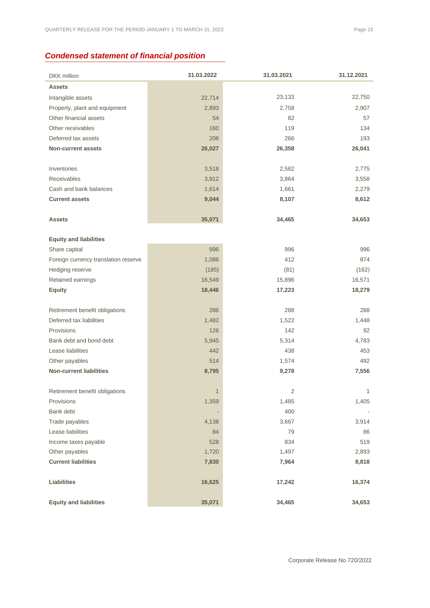# *Condensed statement of financial position*

| <b>DKK</b> million                   | 31.03.2022       | 31.03.2021     | 31.12.2021       |
|--------------------------------------|------------------|----------------|------------------|
| <b>Assets</b>                        |                  |                |                  |
| Intangible assets                    | 22,714           | 23,133         | 22,750           |
| Property, plant and equipment        | 2,893            | 2,758          | 2,907            |
| Other financial assets               | 54               | 82             | 57               |
| Other receivables                    | 160              | 119            | 134              |
| Deferred tax assets                  | 206              | 266            | 193              |
| <b>Non-current assets</b>            | 26,027           | 26,358         | 26,041           |
|                                      |                  |                |                  |
| Inventories                          | 3,518            | 2,582          | 2,775            |
| Receivables                          | 3,912            | 3,864          | 3,558            |
| Cash and bank balances               | 1,614            | 1,661          | 2,279            |
| <b>Current assets</b>                | 9,044            | 8,107          | 8,612            |
|                                      |                  |                |                  |
| <b>Assets</b>                        | 35,071           | 34,465         | 34,653           |
|                                      |                  |                |                  |
| <b>Equity and liabilities</b>        |                  |                |                  |
| Share capital                        | 996              | 996            | 996              |
| Foreign currency translation reserve | 1,086            | 412            | 874              |
| Hedging reserve                      | (185)            | (81)<br>15,896 | (162)            |
| Retained earnings<br><b>Equity</b>   | 16,549<br>18,446 | 17,223         | 16,571<br>18,279 |
|                                      |                  |                |                  |
| Retirement benefit obligations       | 286              | 288            | 288              |
| Deferred tax liabilities             | 1,482            | 1,522          | 1,448            |
| Provisions                           | 126              | 142            | 92               |
| Bank debt and bond debt              | 5,945            | 5,314          | 4,783            |
| Lease liabilities                    | 442              | 438            | 453              |
| Other payables                       | 514              | 1,574          | 492              |
| <b>Non-current liabilities</b>       | 8,795            | 9,278          | 7,556            |
|                                      |                  |                |                  |
| Retirement benefit obligations       | 1                | $\overline{2}$ | 1                |
| Provisions                           | 1,359            | 1,485          | 1,405            |
| Bank debt                            |                  | 400            |                  |
| Trade payables                       | 4,138            | 3,667          | 3,914            |
| Lease liabilities                    | 84               | 79             | 86               |
| Income taxes payable                 | 528              | 834            | 519              |
| Other payables                       | 1,720            | 1,497          | 2,893            |
| <b>Current liabilities</b>           | 7,830            | 7,964          | 8,818            |
|                                      |                  |                |                  |
| <b>Liabilities</b>                   | 16,625           | 17,242         | 16,374           |
|                                      |                  |                |                  |
| <b>Equity and liabilities</b>        | 35,071           | 34,465         | 34,653           |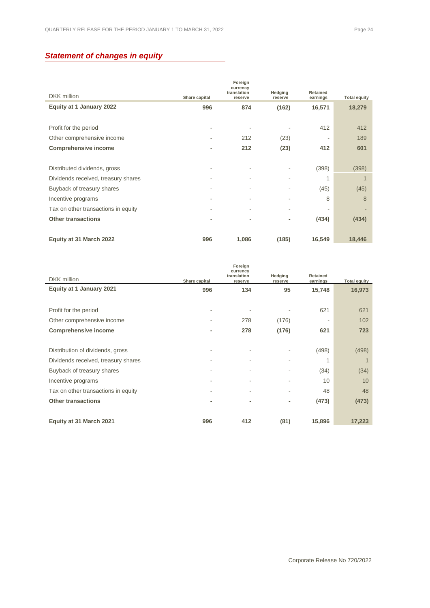# *Statement of changes in equity*

|                                     |               | Foreign<br>currency    |                          |                      |                     |
|-------------------------------------|---------------|------------------------|--------------------------|----------------------|---------------------|
| DKK million                         | Share capital | translation<br>reserve | Hedging<br>reserve       | Retained<br>earnings | <b>Total equity</b> |
| Equity at 1 January 2022            | 996           | 874                    | (162)                    | 16,571               | 18,279              |
|                                     |               |                        |                          |                      |                     |
| Profit for the period               | ٠             | ۰                      |                          | 412                  | 412                 |
| Other comprehensive income          |               | 212                    | (23)                     | ۰                    | 189                 |
| <b>Comprehensive income</b>         | ٠             | 212                    | (23)                     | 412                  | 601                 |
|                                     |               |                        |                          |                      |                     |
| Distributed dividends, gross        | ٠             | ٠                      | ٠                        | (398)                | (398)               |
| Dividends received, treasury shares |               |                        | ٠                        | 1                    |                     |
| Buyback of treasury shares          |               |                        |                          | (45)                 | (45)                |
| Incentive programs                  |               | ۰                      | ٠                        | 8                    | 8                   |
| Tax on other transactions in equity | ٠             | ۰                      | $\overline{\phantom{a}}$ | ٠                    |                     |
| <b>Other transactions</b>           |               |                        | ٠                        | (434)                | (434)               |
|                                     |               |                        |                          |                      |                     |
| Equity at 31 March 2022             | 996           | 1,086                  | (185)                    | 16,549               | 18,446              |

|                                     |               | Foreign<br>currency    |                    |                      |                     |
|-------------------------------------|---------------|------------------------|--------------------|----------------------|---------------------|
| DKK million                         | Share capital | translation<br>reserve | Hedging<br>reserve | Retained<br>earnings | <b>Total equity</b> |
| Equity at 1 January 2021            | 996           | 134                    | 95                 | 15,748               | 16,973              |
|                                     |               |                        |                    |                      |                     |
| Profit for the period               | ٠             |                        |                    | 621                  | 621                 |
| Other comprehensive income          |               | 278                    | (176)              |                      | 102                 |
| <b>Comprehensive income</b>         | ٠             | 278                    | (176)              | 621                  | 723                 |
|                                     |               |                        |                    |                      |                     |
| Distribution of dividends, gross    |               |                        |                    | (498)                | (498)               |
| Dividends received, treasury shares | ٠             | ۰                      | ٠                  | 1                    | 1                   |
| Buyback of treasury shares          |               | ۰                      | ٠                  | (34)                 | (34)                |
| Incentive programs                  |               |                        |                    | 10                   | 10                  |
| Tax on other transactions in equity |               | ۰                      | ٠                  | 48                   | 48                  |
| <b>Other transactions</b>           | ٠             | ۰                      | ٠                  | (473)                | (473)               |
|                                     |               |                        |                    |                      |                     |
| Equity at 31 March 2021             | 996           | 412                    | (81)               | 15,896               | 17,223              |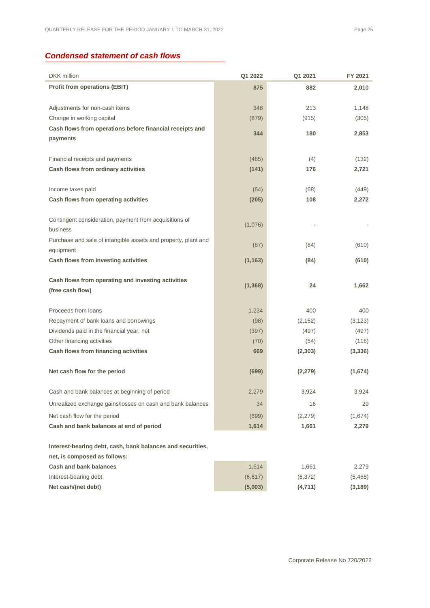# *Condensed statement of cash flows*

| <b>DKK</b> million                                             | Q1 2022  | Q1 2021  | FY 2021  |
|----------------------------------------------------------------|----------|----------|----------|
| <b>Profit from operations (EBIT)</b>                           | 875      | 882      | 2,010    |
|                                                                |          |          |          |
| Adjustments for non-cash items                                 | 348      | 213      | 1,148    |
| Change in working capital                                      | (879)    | (915)    | (305)    |
| Cash flows from operations before financial receipts and       | 344      | 180      | 2,853    |
| payments                                                       |          |          |          |
|                                                                |          |          |          |
| Financial receipts and payments                                | (485)    | (4)      | (132)    |
| Cash flows from ordinary activities                            | (141)    | 176      | 2,721    |
|                                                                |          |          |          |
| Income taxes paid                                              | (64)     | (68)     | (449)    |
| Cash flows from operating activities                           | (205)    | 108      | 2,272    |
| Contingent consideration, payment from acquisitions of         |          |          |          |
| business                                                       | (1,076)  |          |          |
| Purchase and sale of intangible assets and property, plant and |          |          |          |
| equipment                                                      | (87)     | (84)     | (610)    |
| Cash flows from investing activities                           | (1, 163) | (84)     | (610)    |
|                                                                |          |          |          |
| Cash flows from operating and investing activities             |          |          |          |
| (free cash flow)                                               | (1, 368) | 24       | 1,662    |
|                                                                |          |          |          |
| Proceeds from loans                                            | 1,234    | 400      | 400      |
| Repayment of bank loans and borrowings                         | (98)     | (2, 152) | (3, 123) |
| Dividends paid in the financial year, net                      | (397)    | (497)    | (497)    |
| Other financing activities                                     | (70)     | (54)     | (116)    |
| Cash flows from financing activities                           | 669      | (2, 303) | (3, 336) |
|                                                                |          |          |          |
| Net cash flow for the period                                   | (699)    | (2, 279) | (1,674)  |
| Cash and bank balances at beginning of period                  | 2,279    | 3,924    | 3,924    |
| Unrealized exchange gains/losses on cash and bank balances     | 34       | 16       | 29       |
| Net cash flow for the period                                   | (699)    | (2, 279) | (1,674)  |
| Cash and bank balances at end of period                        | 1,614    | 1,661    | 2,279    |
|                                                                |          |          |          |
| Interest-bearing debt, cash, bank balances and securities,     |          |          |          |
| net, is composed as follows:                                   |          |          |          |
| <b>Cash and bank balances</b>                                  | 1,614    | 1,661    | 2,279    |
| Interest-bearing debt                                          | (6,617)  | (6, 372) | (5,468)  |
| Net cash/(net debt)                                            | (5,003)  | (4,711)  | (3, 189) |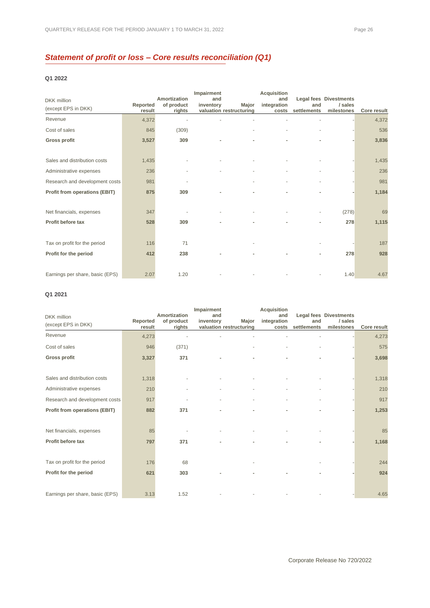# *Statement of profit or loss – Core results reconciliation (Q1)*

#### **Q1 2022**

| <b>DKK</b> million                   |                    | Amortization         | Impairment<br>and |                                  | <b>Acquisition</b><br>and | and         | <b>Legal fees Divestments</b> |                    |
|--------------------------------------|--------------------|----------------------|-------------------|----------------------------------|---------------------------|-------------|-------------------------------|--------------------|
| (except EPS in DKK)                  | Reported<br>result | of product<br>rights | inventory         | Major<br>valuation restructuring | integration<br>costs      | settlements | / sales<br>milestones         | <b>Core result</b> |
| Revenue                              | 4,372              |                      |                   |                                  |                           |             |                               | 4,372              |
| Cost of sales                        | 845                | (309)                |                   |                                  |                           |             |                               | 536                |
| <b>Gross profit</b>                  | 3,527              | 309                  |                   |                                  |                           |             |                               | 3,836              |
|                                      |                    |                      |                   |                                  |                           |             |                               |                    |
| Sales and distribution costs         | 1,435              |                      |                   |                                  |                           |             |                               | 1,435              |
| Administrative expenses              | 236                |                      |                   |                                  |                           |             |                               | 236                |
| Research and development costs       | 981                |                      |                   |                                  |                           |             |                               | 981                |
| <b>Profit from operations (EBIT)</b> | 875                | 309                  |                   | ٠                                | ٠                         |             |                               | 1,184              |
|                                      |                    |                      |                   |                                  |                           |             |                               |                    |
| Net financials, expenses             | 347                |                      |                   |                                  |                           |             | (278)                         | 69                 |
| Profit before tax                    | 528                | 309                  | ٠                 | ٠                                | ٠                         | ٠           | 278                           | 1,115              |
|                                      |                    |                      |                   |                                  |                           |             |                               |                    |
| Tax on profit for the period         | 116                | 71                   |                   |                                  |                           |             |                               | 187                |
| Profit for the period                | 412                | 238                  |                   |                                  |                           |             | 278                           | 928                |
|                                      |                    |                      |                   |                                  |                           |             |                               |                    |
| Earnings per share, basic (EPS)      | 2.07               | 1.20                 |                   |                                  |                           |             | 1.40                          | 4.67               |

#### **Q1 2021**

| <b>DKK</b> million                   | Reported | Amortization<br>of product | Impairment<br>and<br>inventory | Major                   | <b>Acquisition</b><br>and<br>integration | and         | <b>Legal fees Divestments</b><br>/ sales |                    |
|--------------------------------------|----------|----------------------------|--------------------------------|-------------------------|------------------------------------------|-------------|------------------------------------------|--------------------|
| (except EPS in DKK)                  | result   | rights                     |                                | valuation restructuring | costs                                    | settlements | milestones                               | <b>Core result</b> |
| Revenue                              | 4,273    |                            |                                |                         |                                          |             |                                          | 4,273              |
| Cost of sales                        | 946      | (371)                      |                                |                         |                                          |             |                                          | 575                |
| Gross profit                         | 3,327    | 371                        |                                |                         |                                          |             |                                          | 3,698              |
|                                      |          |                            |                                |                         |                                          |             |                                          |                    |
| Sales and distribution costs         | 1,318    |                            |                                |                         |                                          |             |                                          | 1,318              |
| Administrative expenses              | 210      |                            |                                |                         |                                          |             |                                          | 210                |
| Research and development costs       | 917      |                            |                                |                         |                                          |             |                                          | 917                |
| <b>Profit from operations (EBIT)</b> | 882      | 371                        |                                | ٠                       |                                          |             |                                          | 1,253              |
|                                      |          |                            |                                |                         |                                          |             |                                          |                    |
| Net financials, expenses             | 85       |                            |                                |                         |                                          |             |                                          | 85                 |
| Profit before tax                    | 797      | 371                        | ٠                              | ٠                       | ٠                                        |             |                                          | 1,168              |
|                                      |          |                            |                                |                         |                                          |             |                                          |                    |
| Tax on profit for the period         | 176      | 68                         |                                |                         |                                          |             |                                          | 244                |
| Profit for the period                | 621      | 303                        |                                | ٠                       |                                          |             |                                          | 924                |
|                                      |          |                            |                                |                         |                                          |             |                                          |                    |
| Earnings per share, basic (EPS)      | 3.13     | 1.52                       |                                |                         |                                          |             |                                          | 4.65               |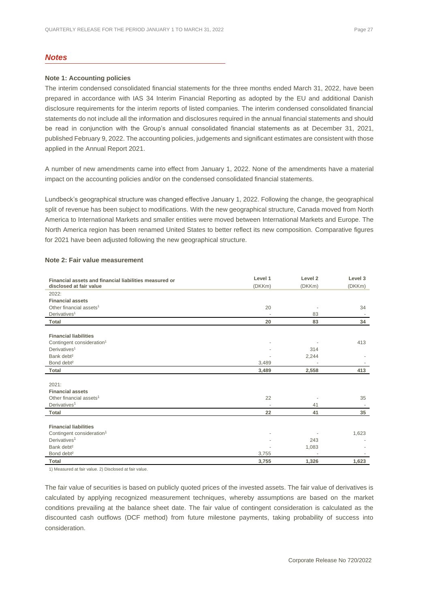#### *Notes*

#### **Note 1: Accounting policies**

The interim condensed consolidated financial statements for the three months ended March 31, 2022, have been prepared in accordance with IAS 34 Interim Financial Reporting as adopted by the EU and additional Danish disclosure requirements for the interim reports of listed companies. The interim condensed consolidated financial statements do not include all the information and disclosures required in the annual financial statements and should be read in conjunction with the Group's annual consolidated financial statements as at December 31, 2021, published February 9, 2022. The accounting policies, judgements and significant estimates are consistent with those applied in the Annual Report 2021.

A number of new amendments came into effect from January 1, 2022. None of the amendments have a material impact on the accounting policies and/or on the condensed consolidated financial statements.

Lundbeck's geographical structure was changed effective January 1, 2022. Following the change, the geographical split of revenue has been subject to modifications. With the new geographical structure, Canada moved from North America to International Markets and smaller entities were moved between International Markets and Europe. The North America region has been renamed United States to better reflect its new composition. Comparative figures for 2021 have been adjusted following the new geographical structure.

| Financial assets and financial liabilities measured or | Level 1 | Level <sub>2</sub> | Level 3 |
|--------------------------------------------------------|---------|--------------------|---------|
| disclosed at fair value                                | (DKKm)  | (DKKm)             | (DKKm)  |
| 2022:                                                  |         |                    |         |
| <b>Financial assets</b>                                |         |                    |         |
| Other financial assets <sup>1</sup>                    | 20      |                    | 34      |
| Derivatives <sup>1</sup>                               |         | 83                 |         |
| Total                                                  | 20      | 83                 | 34      |
|                                                        |         |                    |         |
| <b>Financial liabilities</b>                           |         |                    |         |
| Contingent consideration <sup>1</sup>                  |         |                    | 413     |
| Derivatives <sup>1</sup>                               |         | 314                |         |
| Bank debt <sup>2</sup>                                 |         | 2,244              |         |
| Bond debt <sup>2</sup>                                 | 3,489   |                    |         |
| <b>Total</b>                                           | 3,489   | 2,558              | 413     |
|                                                        |         |                    |         |
| 2021:                                                  |         |                    |         |
| <b>Financial assets</b>                                |         |                    |         |
| Other financial assets <sup>1</sup>                    | 22      |                    | 35      |
| Derivatives <sup>1</sup>                               |         | 41                 |         |
| Total                                                  | 22      | 41                 | 35      |
| <b>Financial liabilities</b>                           |         |                    |         |
| Contingent consideration <sup>1</sup>                  |         |                    | 1,623   |
| Derivatives <sup>1</sup>                               |         | 243                |         |
| Bank debt <sup>2</sup>                                 |         | 1,083              |         |
| Bond debt <sup>2</sup>                                 | 3,755   |                    |         |
| <b>Total</b>                                           | 3,755   | 1,326              | 1,623   |
|                                                        |         |                    |         |

#### **Note 2: Fair value measurement**

1) Measured at fair value. 2) Disclosed at fair value.

The fair value of securities is based on publicly quoted prices of the invested assets. The fair value of derivatives is calculated by applying recognized measurement techniques, whereby assumptions are based on the market conditions prevailing at the balance sheet date. The fair value of contingent consideration is calculated as the discounted cash outflows (DCF method) from future milestone payments, taking probability of success into consideration.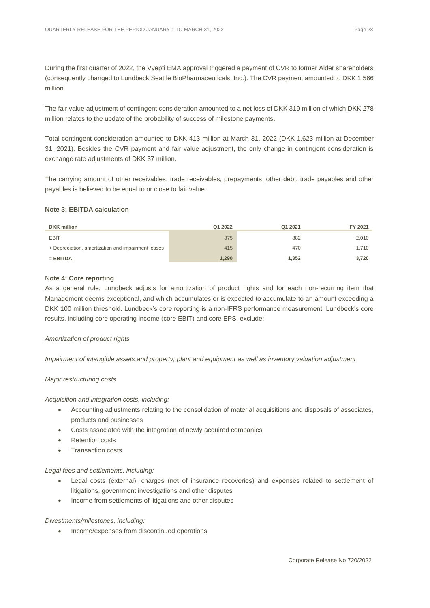During the first quarter of 2022, the Vyepti EMA approval triggered a payment of CVR to former Alder shareholders (consequently changed to Lundbeck Seattle BioPharmaceuticals, Inc.). The CVR payment amounted to DKK 1,566 million.

The fair value adjustment of contingent consideration amounted to a net loss of DKK 319 million of which DKK 278 million relates to the update of the probability of success of milestone payments.

Total contingent consideration amounted to DKK 413 million at March 31, 2022 (DKK 1,623 million at December 31, 2021). Besides the CVR payment and fair value adjustment, the only change in contingent consideration is exchange rate adjustments of DKK 37 million.

The carrying amount of other receivables, trade receivables, prepayments, other debt, trade payables and other payables is believed to be equal to or close to fair value.

#### **Note 3: EBITDA calculation**

| <b>DKK</b> million                                 | Q1 2022 | Q1 2021 | FY 2021 |
|----------------------------------------------------|---------|---------|---------|
| EBIT                                               | 875     | 882     | 2,010   |
| + Depreciation, amortization and impairment losses | 415     | 470     | 1.710   |
| $=$ EBITDA                                         | 1,290   | 1,352   | 3,720   |

#### N**ote 4: Core reporting**

As a general rule, Lundbeck adjusts for amortization of product rights and for each non-recurring item that Management deems exceptional, and which accumulates or is expected to accumulate to an amount exceeding a DKK 100 million threshold. Lundbeck's core reporting is a non-IFRS performance measurement. Lundbeck's core results, including core operating income (core EBIT) and core EPS, exclude:

#### *Amortization of product rights*

*Impairment of intangible assets and property, plant and equipment as well as inventory valuation adjustment*

#### *Major restructuring costs*

*Acquisition and integration costs, including:*

- Accounting adjustments relating to the consolidation of material acquisitions and disposals of associates, products and businesses
- Costs associated with the integration of newly acquired companies
- Retention costs
- Transaction costs

#### *Legal fees and settlements, including:*

- Legal costs (external), charges (net of insurance recoveries) and expenses related to settlement of litigations, government investigations and other disputes
- Income from settlements of litigations and other disputes

#### *Divestments/milestones, including:*

• Income/expenses from discontinued operations